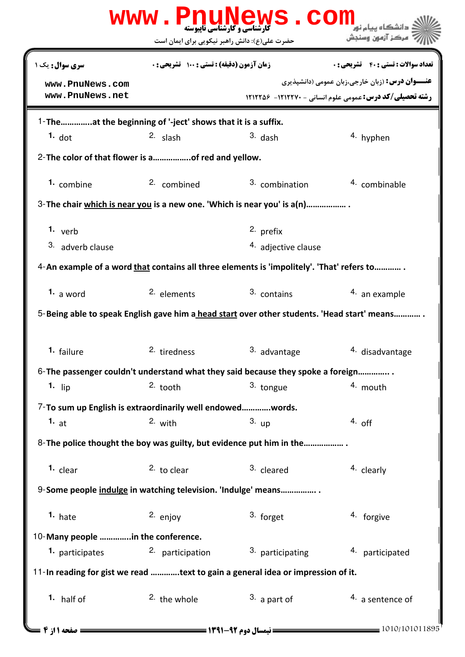|                                                                                             |                                               | WWW.PnuNews.Com      |                                                                                                                           |  |  |
|---------------------------------------------------------------------------------------------|-----------------------------------------------|----------------------|---------------------------------------------------------------------------------------------------------------------------|--|--|
|                                                                                             | حضرت علی(ع): دانش راهبر نیکویی برای ایمان است |                      | مركز آزمون وسنجش                                                                                                          |  |  |
| <b>سری سوال :</b> یک ۱                                                                      | زمان آزمون (دقیقه) : تستی : 100 تشریحی : 0    |                      | <b>تعداد سوالات : تستي : 40 ٪ تشريحي : 0</b>                                                                              |  |  |
| www.PnuNews.com<br>www.PnuNews.net                                                          |                                               |                      | <b>عنـــوان درس:</b> (زبان خارجي،زبان عمومي (دانشپذيري<br><b>رشته تحصیلی/کد درس:</b> عمومی علوم انسانی - ۱۲۱۲۲۷۰- ۱۲۱۲۲۵۶ |  |  |
| 1-Theat the beginning of '-ject' shows that it is a suffix.                                 |                                               |                      |                                                                                                                           |  |  |
| $1.$ dot                                                                                    | $2.$ slash                                    | $3.$ dash            | <sup>4</sup> hyphen                                                                                                       |  |  |
| 2- The color of that flower is aof red and yellow.                                          |                                               |                      |                                                                                                                           |  |  |
| 1. combine                                                                                  | 2. combined                                   | 3. combination       | 4. combinable                                                                                                             |  |  |
| 3- The chair which is near you is a new one. 'Which is near you' is a(n)                    |                                               |                      |                                                                                                                           |  |  |
| 1. $verb$                                                                                   |                                               | <sup>2.</sup> prefix |                                                                                                                           |  |  |
| 3. adverb clause                                                                            |                                               | 4. adjective clause  |                                                                                                                           |  |  |
| 4-An example of a word that contains all three elements is 'impolitely'. 'That' refers to   |                                               |                      |                                                                                                                           |  |  |
| 1. a word                                                                                   | 2. elements                                   | 3. contains          | 4. an example                                                                                                             |  |  |
| 5-Being able to speak English gave him a head start over other students. 'Head start' means |                                               |                      |                                                                                                                           |  |  |
| 1. failure                                                                                  | 2. tiredness                                  | 3. advantage         | 4. disadvantage                                                                                                           |  |  |
| 6-The passenger couldn't understand what they said because they spoke a foreign             |                                               |                      |                                                                                                                           |  |  |
| 1. $lip$                                                                                    | $2.$ tooth                                    | 3. tongue            | 4. mouth                                                                                                                  |  |  |
| 7-To sum up English is extraordinarily well endowedwords.                                   |                                               |                      |                                                                                                                           |  |  |
| 1. $at$                                                                                     | 2. with                                       | 3. up                | $4.$ off                                                                                                                  |  |  |
| 8-The police thought the boy was guilty, but evidence put him in the                        |                                               |                      |                                                                                                                           |  |  |
| 1. $clear$                                                                                  | $2.$ to clear                                 | 3. cleared           | 4. clearly                                                                                                                |  |  |
| 9-Some people indulge in watching television. 'Indulge' means                               |                                               |                      |                                                                                                                           |  |  |
| $1.$ hate                                                                                   | 2. enjoy                                      | 3. forget            | 4. forgive                                                                                                                |  |  |
| 10-Many people in the conference.                                                           |                                               |                      |                                                                                                                           |  |  |
| 1. participates                                                                             | 2. participation                              | 3. participating     | 4. participated                                                                                                           |  |  |
| 11-In reading for gist we read text to gain a general idea or impression of it.             |                                               |                      |                                                                                                                           |  |  |
| 1. half of                                                                                  | 2. the whole                                  | $3.$ a part of       | 4. a sentence of                                                                                                          |  |  |
| <b>: صفحه 1 از 4 ـــ</b>                                                                    |                                               |                      | 1010/101011895                                                                                                            |  |  |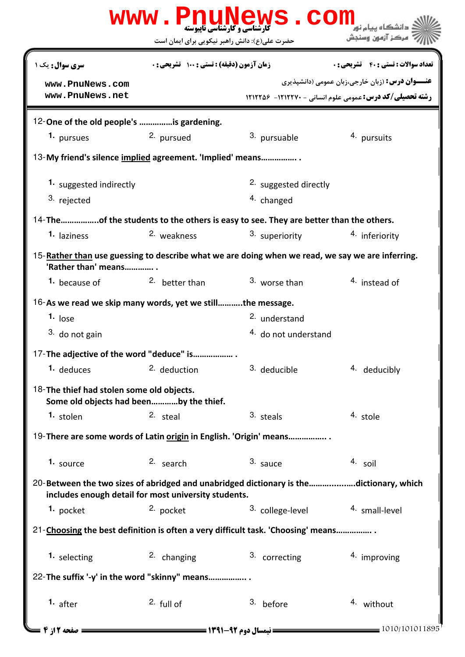|                                                                                                                                                 |                                                     | WWW.PnuNews.Com          |                                                                |  |  |
|-------------------------------------------------------------------------------------------------------------------------------------------------|-----------------------------------------------------|--------------------------|----------------------------------------------------------------|--|--|
|                                                                                                                                                 | حضرت علی(ع): دانش راهبر نیکویی برای ایمان است       |                          | مركز آزمون وسنجش                                               |  |  |
| سری سوال: یک ۱                                                                                                                                  | زمان آزمون (دقیقه) : تستی : 100 تشریحی : 0          |                          | <b>تعداد سوالات : تستي : 40 ٪ تشريحي : 0</b>                   |  |  |
| www.PnuNews.com                                                                                                                                 |                                                     |                          | <b>عنـــوان درس:</b> (زبان خارجي،زبان عمومي (دانشپذيري         |  |  |
| www.PnuNews.net                                                                                                                                 |                                                     |                          | <b>رشته تحصیلی/کد درس: عمومی علوم انسانی - 1212270- 121226</b> |  |  |
| 12-One of the old people's is gardening.                                                                                                        |                                                     |                          |                                                                |  |  |
| 1. pursues                                                                                                                                      | 2. pursued                                          | 3. pursuable             | 4. pursuits                                                    |  |  |
| 13-My friend's silence implied agreement. 'Implied' means                                                                                       |                                                     |                          |                                                                |  |  |
| 1. suggested indirectly                                                                                                                         |                                                     | 2. suggested directly    |                                                                |  |  |
| 3. rejected                                                                                                                                     |                                                     | <sup>4.</sup> changed    |                                                                |  |  |
| 14-Theof the students to the others is easy to see. They are better than the others.                                                            |                                                     |                          |                                                                |  |  |
| 1. laziness                                                                                                                                     | 2. weakness                                         | 3. superiority           | 4. inferiority                                                 |  |  |
| 15-Rather than use guessing to describe what we are doing when we read, we say we are inferring.<br>'Rather than' means                         |                                                     |                          |                                                                |  |  |
| <sup>1</sup> because of                                                                                                                         | <sup>2.</sup> better than                           | 3. worse than            | 4. instead of                                                  |  |  |
| 16-As we read we skip many words, yet we stillthe message.                                                                                      |                                                     |                          |                                                                |  |  |
| $1.$ lose                                                                                                                                       |                                                     | <sup>2.</sup> understand |                                                                |  |  |
| 3. do not gain                                                                                                                                  |                                                     | 4. do not understand     |                                                                |  |  |
| 17-The adjective of the word "deduce" is                                                                                                        |                                                     |                          |                                                                |  |  |
| 1. deduces                                                                                                                                      | 2. deduction                                        | 3. deducible             | 4. deducibly                                                   |  |  |
| 18-The thief had stolen some old objects.                                                                                                       | Some old objects had beenby the thief.              |                          |                                                                |  |  |
| 1. stolen                                                                                                                                       | 2. steal                                            | 3. steals                | 4. stole                                                       |  |  |
| 19-There are some words of Latin origin in English. 'Origin' means                                                                              |                                                     |                          |                                                                |  |  |
| 1. source                                                                                                                                       | $2.$ search                                         | 3. sauce                 | 4. soil                                                        |  |  |
| 20-Between the two sizes of abridged and unabridged dictionary is the dictionary, which<br>includes enough detail for most university students. |                                                     |                          |                                                                |  |  |
| 1. pocket                                                                                                                                       | 2. pocket                                           | 3. college-level         | 4. small-level                                                 |  |  |
| 21-Choosing the best definition is often a very difficult task. 'Choosing' means                                                                |                                                     |                          |                                                                |  |  |
| 1. selecting                                                                                                                                    | 2. changing                                         | 3. correcting            | 4. improving                                                   |  |  |
| 22-The suffix '-y' in the word "skinny" means                                                                                                   |                                                     |                          |                                                                |  |  |
| 1. after                                                                                                                                        | $2.$ full of                                        | 3. before                | 4. without                                                     |  |  |
| <b>- صفحه 2 از 4</b> $\blacksquare$                                                                                                             | <b>== نیمسال دوم 92-1391 <del>===========</del></b> |                          | 1010/101011895                                                 |  |  |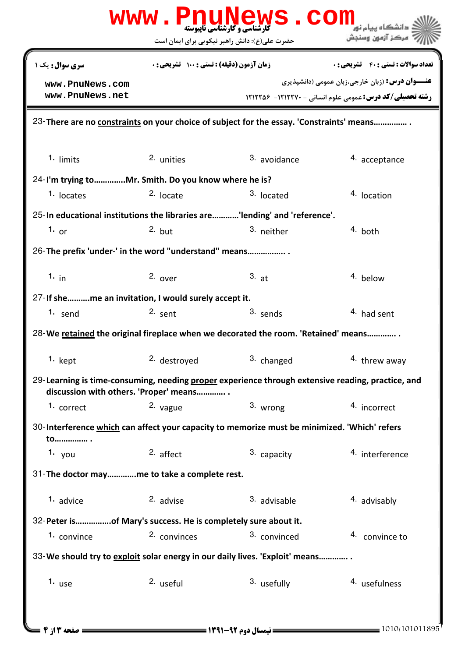| www.PnuNews.com                                                                                   |                                               |              |                                                                |  |  |  |
|---------------------------------------------------------------------------------------------------|-----------------------------------------------|--------------|----------------------------------------------------------------|--|--|--|
|                                                                                                   | حضرت علی(ع): دانش راهبر نیکویی برای ایمان است |              | مركز آزمون وسنجش                                               |  |  |  |
| <b>سری سوال :</b> یک ۱                                                                            | زمان آزمون (دقیقه) : تستی : 100 تشریحی : 0    |              | <b>تعداد سوالات : تستی : 40 - تشریحی : 0</b>                   |  |  |  |
| www.PnuNews.com<br>www.PnuNews.net                                                                |                                               |              | <b>عنـــوان درس:</b> (زبان خارجي،زبان عمومي (دانشپذيري         |  |  |  |
|                                                                                                   |                                               |              | <b>رشته تحصیلی/کد درس: عمومی علوم انسانی - 1212270- 121226</b> |  |  |  |
| 23-There are no constraints on your choice of subject for the essay. 'Constraints' means          |                                               |              |                                                                |  |  |  |
| $1.$ limits                                                                                       | 2. unities                                    | 3. avoidance | 4. acceptance                                                  |  |  |  |
|                                                                                                   |                                               |              |                                                                |  |  |  |
| 24-I'm trying toMr. Smith. Do you know where he is?<br><sup>1.</sup> locates                      | $2.$ locate                                   | 3. located   | 4. location                                                    |  |  |  |
| 25-In educational institutions the libraries are'lending' and 'reference'.                        |                                               |              |                                                                |  |  |  |
| 1. $_{\text{or}}$                                                                                 | $2.$ but                                      | 3. neither   | 4. both                                                        |  |  |  |
|                                                                                                   |                                               |              |                                                                |  |  |  |
| 26-The prefix 'under-' in the word "understand" means                                             |                                               |              |                                                                |  |  |  |
| 1. $in$                                                                                           | $2.$ over                                     | 3. at        | 4. below                                                       |  |  |  |
| 27-If sheme an invitation, I would surely accept it.                                              |                                               |              |                                                                |  |  |  |
| 1. send                                                                                           | 2. sent                                       | 3. sends     | 4. had sent                                                    |  |  |  |
| 28-We retained the original fireplace when we decorated the room. 'Retained' means                |                                               |              |                                                                |  |  |  |
| $1.$ kept                                                                                         | 2. destroyed                                  | 3. changed   | 4. threw away                                                  |  |  |  |
| 29-Learning is time-consuming, needing proper experience through extensive reading, practice, and | discussion with others. 'Proper' means        |              |                                                                |  |  |  |
| 1. correct                                                                                        | 2. vague                                      | 3. wrong     | 4. incorrect                                                   |  |  |  |
| 30-Interference which can affect your capacity to memorize must be minimized. 'Which' refers      |                                               |              |                                                                |  |  |  |
| to                                                                                                |                                               |              |                                                                |  |  |  |
| 1. $you$                                                                                          | 2. affect                                     | 3. capacity  | 4. interference                                                |  |  |  |
| 31-The doctor mayme to take a complete rest.                                                      |                                               |              |                                                                |  |  |  |
| 1. advice                                                                                         | 2. advise                                     | 3. advisable | 4. advisably                                                   |  |  |  |
| 32-Peter isof Mary's success. He is completely sure about it.                                     |                                               |              |                                                                |  |  |  |
| 1. convince                                                                                       | 2. convinces                                  | 3. convinced | <sup>4.</sup> convince to                                      |  |  |  |
| 33-We should try to exploit solar energy in our daily lives. 'Exploit' means                      |                                               |              |                                                                |  |  |  |
| 1. $use$                                                                                          | 2. useful                                     | 3. usefully  | 4. usefulness                                                  |  |  |  |